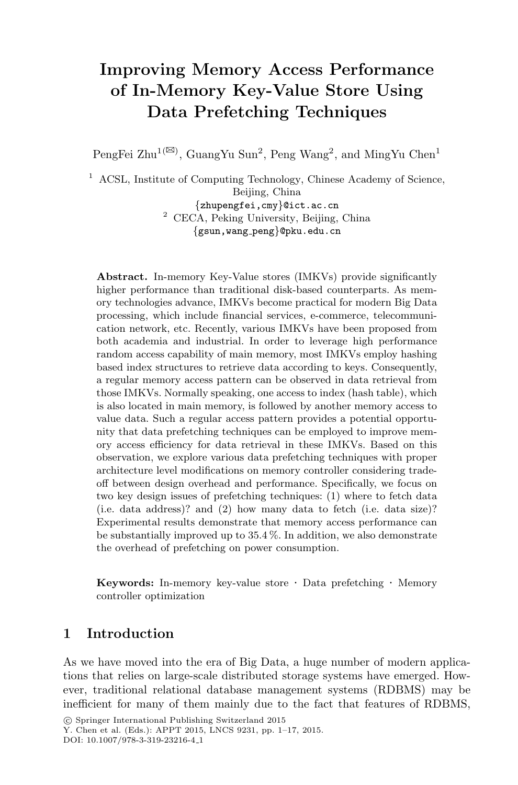# **Improving Memory Access Performance of In-Memory Key-Value Store Using Data Prefetching Techniques**

PengFei Zhu<sup>1( $\boxtimes$ )</sup>, GuangYu Sun<sup>2</sup>, Peng Wang<sup>2</sup>, and MingYu Chen<sup>1</sup>

<sup>1</sup> ACSL, Institute of Computing Technology, Chinese Academy of Science, Beijing, China *{*zhupengfei,cmy*}*@ict.ac.cn <sup>2</sup> CECA, Peking University, Beijing, China *{*gsun,wang peng*}*@pku.edu.cn

**Abstract.** In-memory Key-Value stores (IMKVs) provide significantly higher performance than traditional disk-based counterparts. As memory technologies advance, IMKVs become practical for modern Big Data processing, which include financial services, e-commerce, telecommunication network, etc. Recently, various IMKVs have been proposed from both academia and industrial. In order to leverage high performance random access capability of main memory, most IMKVs employ hashing based index structures to retrieve data according to keys. Consequently, a regular memory access pattern can be observed in data retrieval from those IMKVs. Normally speaking, one access to index (hash table), which is also located in main memory, is followed by another memory access to value data. Such a regular access pattern provides a potential opportunity that data prefetching techniques can be employed to improve memory access efficiency for data retrieval in these IMKVs. Based on this observation, we explore various data prefetching techniques with proper architecture level modifications on memory controller considering tradeoff between design overhead and performance. Specifically, we focus on two key design issues of prefetching techniques: (1) where to fetch data (i.e. data address)? and (2) how many data to fetch (i.e. data size)? Experimental results demonstrate that memory access performance can be substantially improved up to 35.4 %. In addition, we also demonstrate the overhead of prefetching on power consumption.

**Keywords:** In-memory key-value store *·* Data prefetching *·* Memory controller optimization

# **1 Introduction**

As we have moved into the era of Big Data, a huge number of modern applications that relies on large-scale distributed storage systems have emerged. However, traditional relational database management systems (RDBMS) may be inefficient for many of them mainly due to the fact that features of RDBMS,

Y. Chen et al. (Eds.): APPT 2015, LNCS 9231, pp. 1–17, 2015. DOI: 10.1007/978-3-319-23216-4 1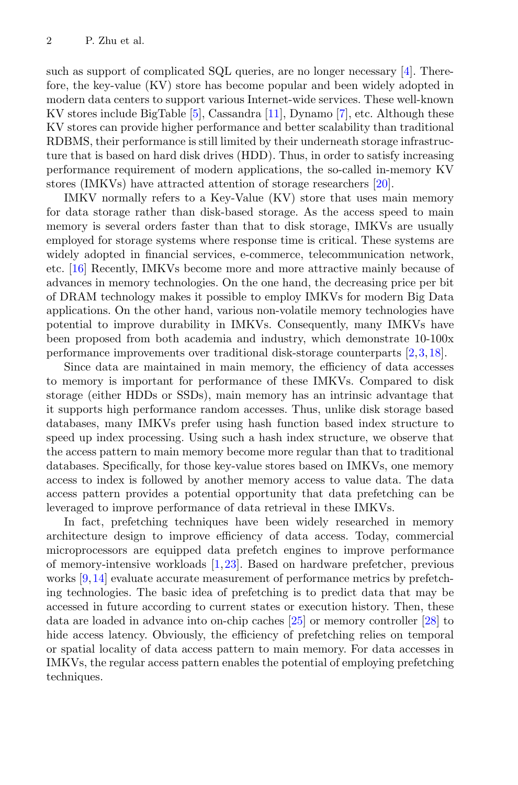such as support of complicated SQL queries, are no longer necessary [\[4\]](#page-14-0). Therefore, the key-value (KV) store has become popular and been widely adopted in modern data centers to support various Internet-wide services. These well-known KV stores include BigTable [\[5](#page-15-0)], Cassandra [\[11](#page-15-1)], Dynamo [\[7\]](#page-15-2), etc. Although these KV stores can provide higher performance and better scalability than traditional RDBMS, their performance is still limited by their underneath storage infrastructure that is based on hard disk drives (HDD). Thus, in order to satisfy increasing performance requirement of modern applications, the so-called in-memory KV stores (IMKVs) have attracted attention of storage researchers [\[20](#page-16-0)].

IMKV normally refers to a Key-Value (KV) store that uses main memory for data storage rather than disk-based storage. As the access speed to main memory is several orders faster than that to disk storage, IMKVs are usually employed for storage systems where response time is critical. These systems are widely adopted in financial services, e-commerce, telecommunication network, etc. [\[16](#page-15-3)] Recently, IMKVs become more and more attractive mainly because of advances in memory technologies. On the one hand, the decreasing price per bit of DRAM technology makes it possible to employ IMKVs for modern Big Data applications. On the other hand, various non-volatile memory technologies have potential to improve durability in IMKVs. Consequently, many IMKVs have been proposed from both academia and industry, which demonstrate 10-100x performance improvements over traditional disk-storage counterparts [\[2](#page-14-1)[,3](#page-14-2)[,18](#page-15-4)].

Since data are maintained in main memory, the efficiency of data accesses to memory is important for performance of these IMKVs. Compared to disk storage (either HDDs or SSDs), main memory has an intrinsic advantage that it supports high performance random accesses. Thus, unlike disk storage based databases, many IMKVs prefer using hash function based index structure to speed up index processing. Using such a hash index structure, we observe that the access pattern to main memory become more regular than that to traditional databases. Specifically, for those key-value stores based on IMKVs, one memory access to index is followed by another memory access to value data. The data access pattern provides a potential opportunity that data prefetching can be leveraged to improve performance of data retrieval in these IMKVs.

In fact, prefetching techniques have been widely researched in memory architecture design to improve efficiency of data access. Today, commercial microprocessors are equipped data prefetch engines to improve performance of memory-intensive workloads  $[1,23]$  $[1,23]$ . Based on hardware prefetcher, previous works [\[9,](#page-15-5)[14\]](#page-15-6) evaluate accurate measurement of performance metrics by prefetching technologies. The basic idea of prefetching is to predict data that may be accessed in future according to current states or execution history. Then, these data are loaded in advance into on-chip caches [\[25](#page-16-2)] or memory controller [\[28](#page-16-3)] to hide access latency. Obviously, the efficiency of prefetching relies on temporal or spatial locality of data access pattern to main memory. For data accesses in IMKVs, the regular access pattern enables the potential of employing prefetching techniques.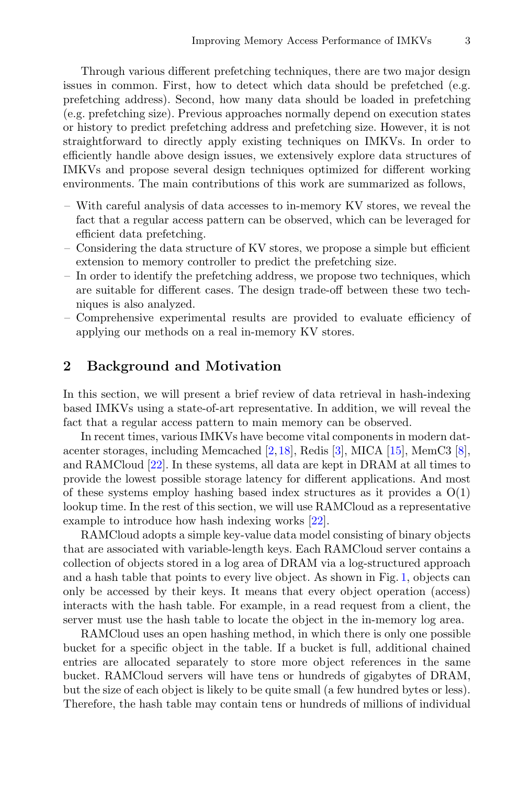Through various different prefetching techniques, there are two major design issues in common. First, how to detect which data should be prefetched (e.g. prefetching address). Second, how many data should be loaded in prefetching (e.g. prefetching size). Previous approaches normally depend on execution states or history to predict prefetching address and prefetching size. However, it is not straightforward to directly apply existing techniques on IMKVs. In order to efficiently handle above design issues, we extensively explore data structures of IMKVs and propose several design techniques optimized for different working environments. The main contributions of this work are summarized as follows,

- With careful analysis of data accesses to in-memory KV stores, we reveal the fact that a regular access pattern can be observed, which can be leveraged for efficient data prefetching.
- Considering the data structure of KV stores, we propose a simple but efficient extension to memory controller to predict the prefetching size.
- In order to identify the prefetching address, we propose two techniques, which are suitable for different cases. The design trade-off between these two techniques is also analyzed.
- Comprehensive experimental results are provided to evaluate efficiency of applying our methods on a real in-memory KV stores.

### **2 Background and Motivation**

In this section, we will present a brief review of data retrieval in hash-indexing based IMKVs using a state-of-art representative. In addition, we will reveal the fact that a regular access pattern to main memory can be observed.

In recent times, various IMKVs have become vital components in modern datacenter storages, including Memcached [\[2](#page-14-1)[,18](#page-15-4)], Redis [\[3](#page-14-2)], MICA [\[15\]](#page-15-7), MemC3 [\[8\]](#page-15-8), and RAMCloud [\[22\]](#page-16-4). In these systems, all data are kept in DRAM at all times to provide the lowest possible storage latency for different applications. And most of these systems employ hashing based index structures as it provides a  $O(1)$ lookup time. In the rest of this section, we will use RAMCloud as a representative example to introduce how hash indexing works [\[22](#page-16-4)].

RAMCloud adopts a simple key-value data model consisting of binary objects that are associated with variable-length keys. Each RAMCloud server contains a collection of objects stored in a log area of DRAM via a log-structured approach and a hash table that points to every live object. As shown in Fig. [1,](#page-3-0) objects can only be accessed by their keys. It means that every object operation (access) interacts with the hash table. For example, in a read request from a client, the server must use the hash table to locate the object in the in-memory log area.

RAMCloud uses an open hashing method, in which there is only one possible bucket for a specific object in the table. If a bucket is full, additional chained entries are allocated separately to store more object references in the same bucket. RAMCloud servers will have tens or hundreds of gigabytes of DRAM, but the size of each object is likely to be quite small (a few hundred bytes or less). Therefore, the hash table may contain tens or hundreds of millions of individual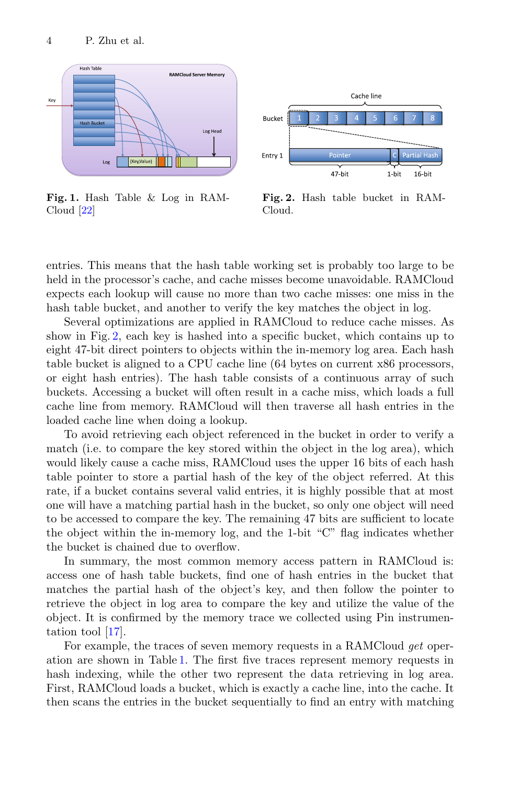

<span id="page-3-0"></span>**Fig. 1.** Hash Table & Log in RAM-Cloud [\[22](#page-16-4)]



<span id="page-3-1"></span>**Fig. 2.** Hash table bucket in RAM-Cloud.

entries. This means that the hash table working set is probably too large to be held in the processor's cache, and cache misses become unavoidable. RAMCloud expects each lookup will cause no more than two cache misses: one miss in the hash table bucket, and another to verify the key matches the object in log.

Several optimizations are applied in RAMCloud to reduce cache misses. As show in Fig. [2,](#page-3-1) each key is hashed into a specific bucket, which contains up to eight 47-bit direct pointers to objects within the in-memory log area. Each hash table bucket is aligned to a CPU cache line (64 bytes on current x86 processors, or eight hash entries). The hash table consists of a continuous array of such buckets. Accessing a bucket will often result in a cache miss, which loads a full cache line from memory. RAMCloud will then traverse all hash entries in the loaded cache line when doing a lookup.

To avoid retrieving each object referenced in the bucket in order to verify a match (i.e. to compare the key stored within the object in the log area), which would likely cause a cache miss, RAMCloud uses the upper 16 bits of each hash table pointer to store a partial hash of the key of the object referred. At this rate, if a bucket contains several valid entries, it is highly possible that at most one will have a matching partial hash in the bucket, so only one object will need to be accessed to compare the key. The remaining 47 bits are sufficient to locate the object within the in-memory log, and the 1-bit "C" flag indicates whether the bucket is chained due to overflow.

In summary, the most common memory access pattern in RAMCloud is: access one of hash table buckets, find one of hash entries in the bucket that matches the partial hash of the object's key, and then follow the pointer to retrieve the object in log area to compare the key and utilize the value of the object. It is confirmed by the memory trace we collected using Pin instrumentation tool [\[17\]](#page-15-9).

For example, the traces of seven memory requests in a RAMCloud *get* operation are shown in Table [1.](#page-4-0) The first five traces represent memory requests in hash indexing, while the other two represent the data retrieving in log area. First, RAMCloud loads a bucket, which is exactly a cache line, into the cache. It then scans the entries in the bucket sequentially to find an entry with matching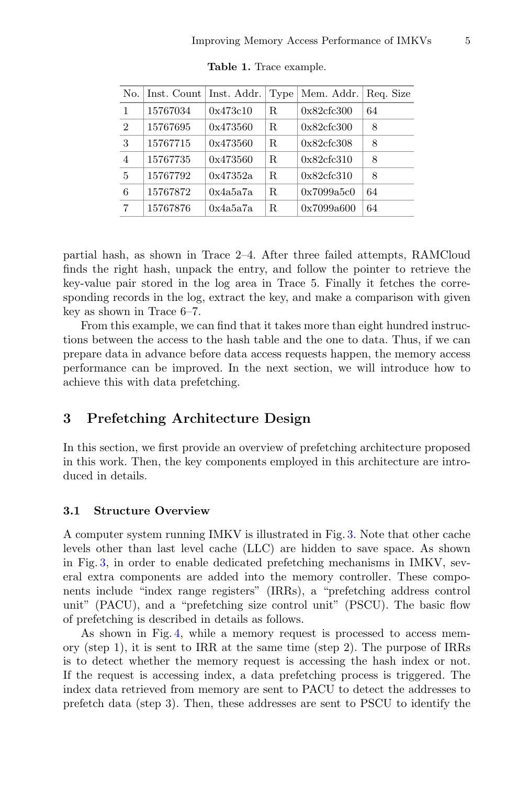| No.            | Inst. Count | Inst. Addr. | Type        | Mem. Addr. | Req. Size |
|----------------|-------------|-------------|-------------|------------|-----------|
| 1              | 15767034    | 0x473c10    | R           | 0x82cfc300 | 64        |
| $\overline{2}$ | 15767695    | 0x473560    | R.          | 0x82cfc300 | 8         |
| 3              | 15767715    | 0x473560    | $\mathbf R$ | 0x82cfc308 | 8         |
| $\overline{4}$ | 15767735    | 0x473560    | R           | 0x82cfc310 | 8         |
| 5              | 15767792    | 0x47352a    | R           | 0x82cfc310 | 8         |
| 6              | 15767872    | 0x4a5a7a    | R           | 0x7099a5c0 | 64        |
|                | 15767876    | 0x4a5a7a    | R.          | 0x7099a600 | 64        |

<span id="page-4-0"></span>**Table 1.** Trace example.

partial hash, as shown in Trace 2–4. After three failed attempts, RAMCloud finds the right hash, unpack the entry, and follow the pointer to retrieve the key-value pair stored in the log area in Trace 5. Finally it fetches the corresponding records in the log, extract the key, and make a comparison with given key as shown in Trace 6–7.

From this example, we can find that it takes more than eight hundred instructions between the access to the hash table and the one to data. Thus, if we can prepare data in advance before data access requests happen, the memory access performance can be improved. In the next section, we will introduce how to achieve this with data prefetching.

### **3 Prefetching Architecture Design**

In this section, we first provide an overview of prefetching architecture proposed in this work. Then, the key components employed in this architecture are introduced in details.

#### **3.1 Structure Overview**

A computer system running IMKV is illustrated in Fig. [3.](#page-5-0) Note that other cache levels other than last level cache (LLC) are hidden to save space. As shown in Fig. [3,](#page-5-0) in order to enable dedicated prefetching mechanisms in IMKV, several extra components are added into the memory controller. These components include "index range registers" (IRRs), a "prefetching address control unit" (PACU), and a "prefetching size control unit" (PSCU). The basic flow of prefetching is described in details as follows.

As shown in Fig. [4,](#page-5-1) while a memory request is processed to access memory (step 1), it is sent to IRR at the same time (step 2). The purpose of IRRs is to detect whether the memory request is accessing the hash index or not. If the request is accessing index, a data prefetching process is triggered. The index data retrieved from memory are sent to PACU to detect the addresses to prefetch data (step 3). Then, these addresses are sent to PSCU to identify the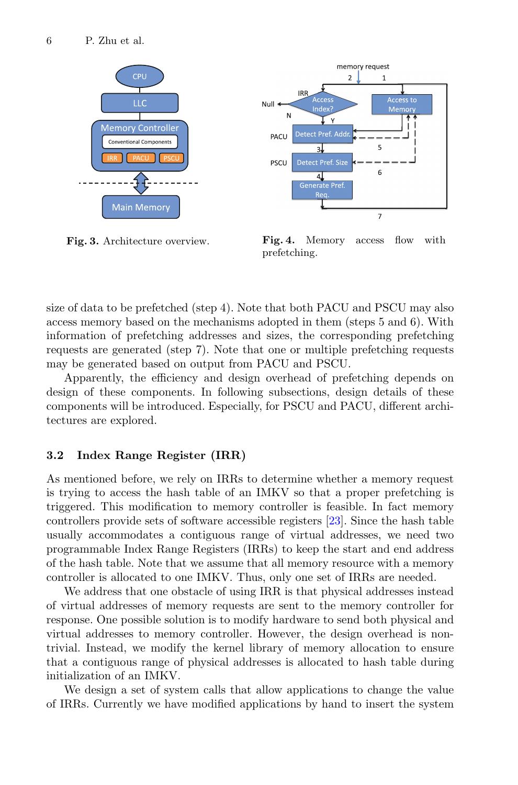

<span id="page-5-1"></span>



<span id="page-5-0"></span>**Fig. 3.** Architecture overview. **Fig. 4.** Memory access flow with prefetching.

size of data to be prefetched (step 4). Note that both PACU and PSCU may also access memory based on the mechanisms adopted in them (steps 5 and 6). With information of prefetching addresses and sizes, the corresponding prefetching requests are generated (step 7). Note that one or multiple prefetching requests may be generated based on output from PACU and PSCU.

Apparently, the efficiency and design overhead of prefetching depends on design of these components. In following subsections, design details of these components will be introduced. Especially, for PSCU and PACU, different architectures are explored.

#### **3.2 Index Range Register (IRR)**

As mentioned before, we rely on IRRs to determine whether a memory request is trying to access the hash table of an IMKV so that a proper prefetching is triggered. This modification to memory controller is feasible. In fact memory controllers provide sets of software accessible registers [\[23](#page-16-1)]. Since the hash table usually accommodates a contiguous range of virtual addresses, we need two programmable Index Range Registers (IRRs) to keep the start and end address of the hash table. Note that we assume that all memory resource with a memory controller is allocated to one IMKV. Thus, only one set of IRRs are needed.

We address that one obstacle of using IRR is that physical addresses instead of virtual addresses of memory requests are sent to the memory controller for response. One possible solution is to modify hardware to send both physical and virtual addresses to memory controller. However, the design overhead is nontrivial. Instead, we modify the kernel library of memory allocation to ensure that a contiguous range of physical addresses is allocated to hash table during initialization of an IMKV.

We design a set of system calls that allow applications to change the value of IRRs. Currently we have modified applications by hand to insert the system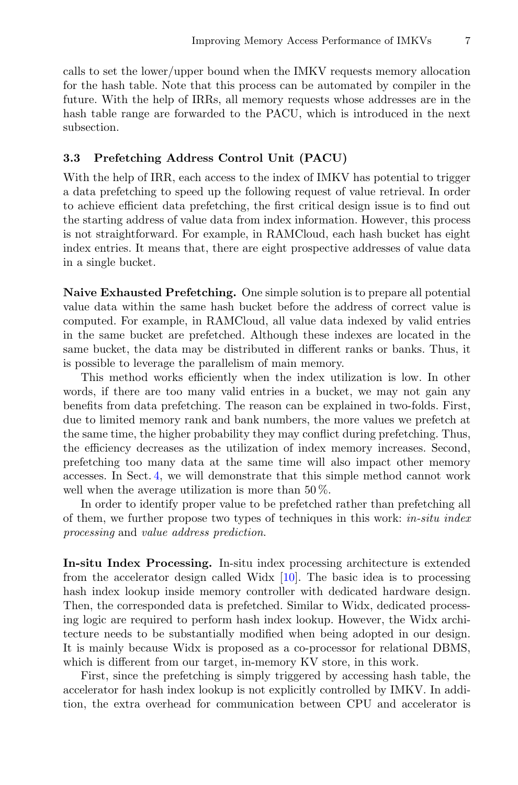calls to set the lower/upper bound when the IMKV requests memory allocation for the hash table. Note that this process can be automated by compiler in the future. With the help of IRRs, all memory requests whose addresses are in the hash table range are forwarded to the PACU, which is introduced in the next subsection.

#### **3.3 Prefetching Address Control Unit (PACU)**

With the help of IRR, each access to the index of IMKV has potential to trigger a data prefetching to speed up the following request of value retrieval. In order to achieve efficient data prefetching, the first critical design issue is to find out the starting address of value data from index information. However, this process is not straightforward. For example, in RAMCloud, each hash bucket has eight index entries. It means that, there are eight prospective addresses of value data in a single bucket.

**Naive Exhausted Prefetching.** One simple solution is to prepare all potential value data within the same hash bucket before the address of correct value is computed. For example, in RAMCloud, all value data indexed by valid entries in the same bucket are prefetched. Although these indexes are located in the same bucket, the data may be distributed in different ranks or banks. Thus, it is possible to leverage the parallelism of main memory.

This method works efficiently when the index utilization is low. In other words, if there are too many valid entries in a bucket, we may not gain any benefits from data prefetching. The reason can be explained in two-folds. First, due to limited memory rank and bank numbers, the more values we prefetch at the same time, the higher probability they may conflict during prefetching. Thus, the efficiency decreases as the utilization of index memory increases. Second, prefetching too many data at the same time will also impact other memory accesses. In Sect. [4,](#page-9-0) we will demonstrate that this simple method cannot work well when the average utilization is more than 50 %.

In order to identify proper value to be prefetched rather than prefetching all of them, we further propose two types of techniques in this work: *in-situ index processing* and *value address prediction*.

**In-situ Index Processing.** In-situ index processing architecture is extended from the accelerator design called Widx [\[10](#page-15-10)]. The basic idea is to processing hash index lookup inside memory controller with dedicated hardware design. Then, the corresponded data is prefetched. Similar to Widx, dedicated processing logic are required to perform hash index lookup. However, the Widx architecture needs to be substantially modified when being adopted in our design. It is mainly because Widx is proposed as a co-processor for relational DBMS, which is different from our target, in-memory KV store, in this work.

First, since the prefetching is simply triggered by accessing hash table, the accelerator for hash index lookup is not explicitly controlled by IMKV. In addition, the extra overhead for communication between CPU and accelerator is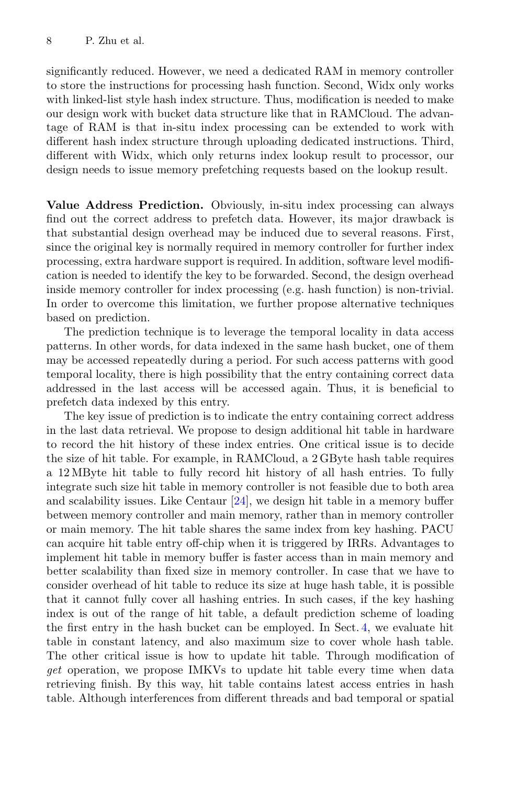significantly reduced. However, we need a dedicated RAM in memory controller to store the instructions for processing hash function. Second, Widx only works with linked-list style hash index structure. Thus, modification is needed to make our design work with bucket data structure like that in RAMCloud. The advantage of RAM is that in-situ index processing can be extended to work with different hash index structure through uploading dedicated instructions. Third, different with Widx, which only returns index lookup result to processor, our design needs to issue memory prefetching requests based on the lookup result.

**Value Address Prediction.** Obviously, in-situ index processing can always find out the correct address to prefetch data. However, its major drawback is that substantial design overhead may be induced due to several reasons. First, since the original key is normally required in memory controller for further index processing, extra hardware support is required. In addition, software level modification is needed to identify the key to be forwarded. Second, the design overhead inside memory controller for index processing (e.g. hash function) is non-trivial. In order to overcome this limitation, we further propose alternative techniques based on prediction.

The prediction technique is to leverage the temporal locality in data access patterns. In other words, for data indexed in the same hash bucket, one of them may be accessed repeatedly during a period. For such access patterns with good temporal locality, there is high possibility that the entry containing correct data addressed in the last access will be accessed again. Thus, it is beneficial to prefetch data indexed by this entry.

The key issue of prediction is to indicate the entry containing correct address in the last data retrieval. We propose to design additional hit table in hardware to record the hit history of these index entries. One critical issue is to decide the size of hit table. For example, in RAMCloud, a 2 GByte hash table requires a 12 MByte hit table to fully record hit history of all hash entries. To fully integrate such size hit table in memory controller is not feasible due to both area and scalability issues. Like Centaur [\[24\]](#page-16-5), we design hit table in a memory buffer between memory controller and main memory, rather than in memory controller or main memory. The hit table shares the same index from key hashing. PACU can acquire hit table entry off-chip when it is triggered by IRRs. Advantages to implement hit table in memory buffer is faster access than in main memory and better scalability than fixed size in memory controller. In case that we have to consider overhead of hit table to reduce its size at huge hash table, it is possible that it cannot fully cover all hashing entries. In such cases, if the key hashing index is out of the range of hit table, a default prediction scheme of loading the first entry in the hash bucket can be employed. In Sect. [4,](#page-9-0) we evaluate hit table in constant latency, and also maximum size to cover whole hash table. The other critical issue is how to update hit table. Through modification of *get* operation, we propose IMKVs to update hit table every time when data retrieving finish. By this way, hit table contains latest access entries in hash table. Although interferences from different threads and bad temporal or spatial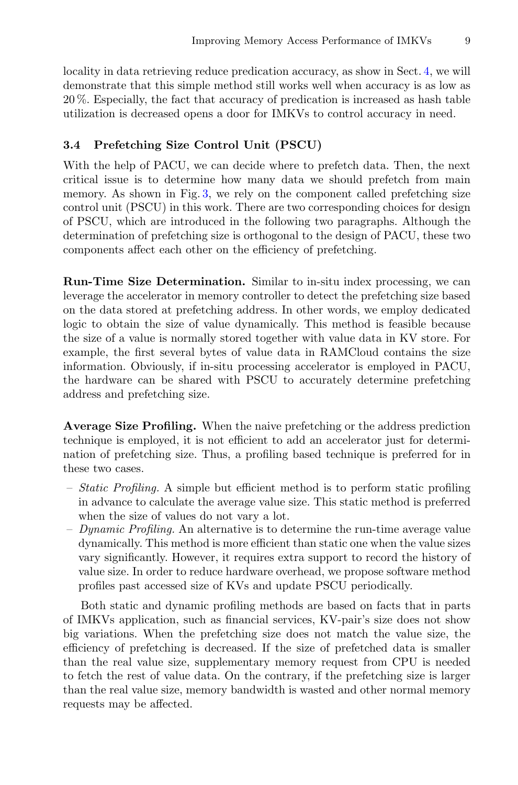locality in data retrieving reduce predication accuracy, as show in Sect. [4,](#page-9-0) we will demonstrate that this simple method still works well when accuracy is as low as 20 %. Especially, the fact that accuracy of predication is increased as hash table utilization is decreased opens a door for IMKVs to control accuracy in need.

# **3.4 Prefetching Size Control Unit (PSCU)**

With the help of PACU, we can decide where to prefetch data. Then, the next critical issue is to determine how many data we should prefetch from main memory. As shown in Fig. [3,](#page-5-0) we rely on the component called prefetching size control unit (PSCU) in this work. There are two corresponding choices for design of PSCU, which are introduced in the following two paragraphs. Although the determination of prefetching size is orthogonal to the design of PACU, these two components affect each other on the efficiency of prefetching.

**Run-Time Size Determination.** Similar to in-situ index processing, we can leverage the accelerator in memory controller to detect the prefetching size based on the data stored at prefetching address. In other words, we employ dedicated logic to obtain the size of value dynamically. This method is feasible because the size of a value is normally stored together with value data in KV store. For example, the first several bytes of value data in RAMCloud contains the size information. Obviously, if in-situ processing accelerator is employed in PACU, the hardware can be shared with PSCU to accurately determine prefetching address and prefetching size.

**Average Size Profiling.** When the naive prefetching or the address prediction technique is employed, it is not efficient to add an accelerator just for determination of prefetching size. Thus, a profiling based technique is preferred for in these two cases.

- *Static Profiling.* A simple but efficient method is to perform static profiling in advance to calculate the average value size. This static method is preferred when the size of values do not vary a lot.
- *Dynamic Profiling.* An alternative is to determine the run-time average value dynamically. This method is more efficient than static one when the value sizes vary significantly. However, it requires extra support to record the history of value size. In order to reduce hardware overhead, we propose software method profiles past accessed size of KVs and update PSCU periodically.

Both static and dynamic profiling methods are based on facts that in parts of IMKVs application, such as financial services, KV-pair's size does not show big variations. When the prefetching size does not match the value size, the efficiency of prefetching is decreased. If the size of prefetched data is smaller than the real value size, supplementary memory request from CPU is needed to fetch the rest of value data. On the contrary, if the prefetching size is larger than the real value size, memory bandwidth is wasted and other normal memory requests may be affected.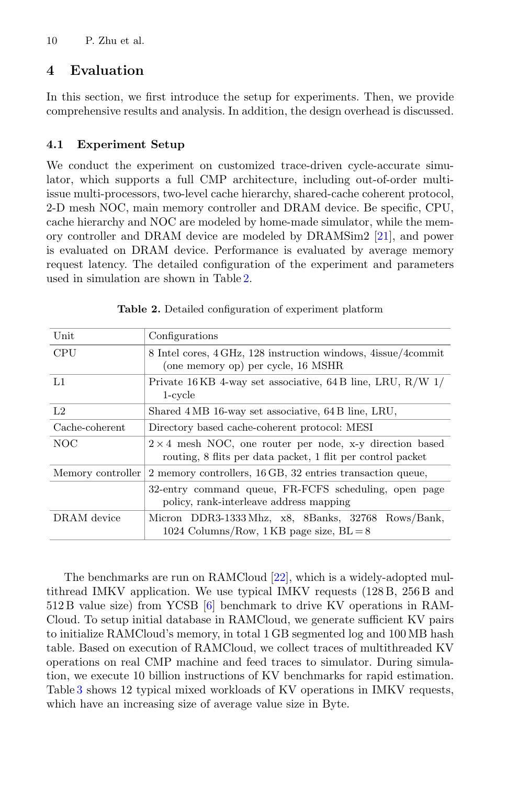# <span id="page-9-0"></span>**4 Evaluation**

In this section, we first introduce the setup for experiments. Then, we provide comprehensive results and analysis. In addition, the design overhead is discussed.

# **4.1 Experiment Setup**

We conduct the experiment on customized trace-driven cycle-accurate simulator, which supports a full CMP architecture, including out-of-order multiissue multi-processors, two-level cache hierarchy, shared-cache coherent protocol, 2-D mesh NOC, main memory controller and DRAM device. Be specific, CPU, cache hierarchy and NOC are modeled by home-made simulator, while the memory controller and DRAM device are modeled by DRAMSim2 [\[21](#page-16-6)], and power is evaluated on DRAM device. Performance is evaluated by average memory request latency. The detailed configuration of the experiment and parameters used in simulation are shown in Table [2.](#page-9-1)

| Unit              | Configurations                                                                                                                 |  |  |  |
|-------------------|--------------------------------------------------------------------------------------------------------------------------------|--|--|--|
| <b>CPU</b>        | 8 Intel cores, 4 GHz, 128 instruction windows, 4 issue/4 commit<br>(one memory op) per cycle, 16 MSHR                          |  |  |  |
| L1                | Private 16 KB 4-way set associative, 64 B line, LRU, R/W 1/<br>$1$ -cycle                                                      |  |  |  |
| L <sub>2</sub>    | Shared 4 MB 16-way set associative, 64 B line, LRU,                                                                            |  |  |  |
| Cache-coherent    | Directory based cache-coherent protocol: MESI                                                                                  |  |  |  |
| NOC.              | $2 \times 4$ mesh NOC, one router per node, x-y direction based<br>routing, 8 flits per data packet, 1 flit per control packet |  |  |  |
| Memory controller | 2 memory controllers, 16 GB, 32 entries transaction queue,                                                                     |  |  |  |
|                   | 32-entry command queue, FR-FCFS scheduling, open page<br>policy, rank-interleave address mapping                               |  |  |  |
| DRAM device       | Micron DDR3-1333 Mhz, x8, 8Banks, 32768 Rows/Bank,<br>1024 Columns/Row, 1KB page size, $BL = 8$                                |  |  |  |

<span id="page-9-1"></span>

|  |  |  | Table 2. Detailed configuration of experiment platform |  |
|--|--|--|--------------------------------------------------------|--|
|--|--|--|--------------------------------------------------------|--|

The benchmarks are run on RAMCloud [\[22](#page-16-4)], which is a widely-adopted multithread IMKV application. We use typical IMKV requests (128 B, 256 B and 512 B value size) from YCSB [\[6](#page-15-11)] benchmark to drive KV operations in RAM-Cloud. To setup initial database in RAMCloud, we generate sufficient KV pairs to initialize RAMCloud's memory, in total 1 GB segmented log and 100 MB hash table. Based on execution of RAMCloud, we collect traces of multithreaded KV operations on real CMP machine and feed traces to simulator. During simulation, we execute 10 billion instructions of KV benchmarks for rapid estimation. Table [3](#page-11-0) shows 12 typical mixed workloads of KV operations in IMKV requests, which have an increasing size of average value size in Byte.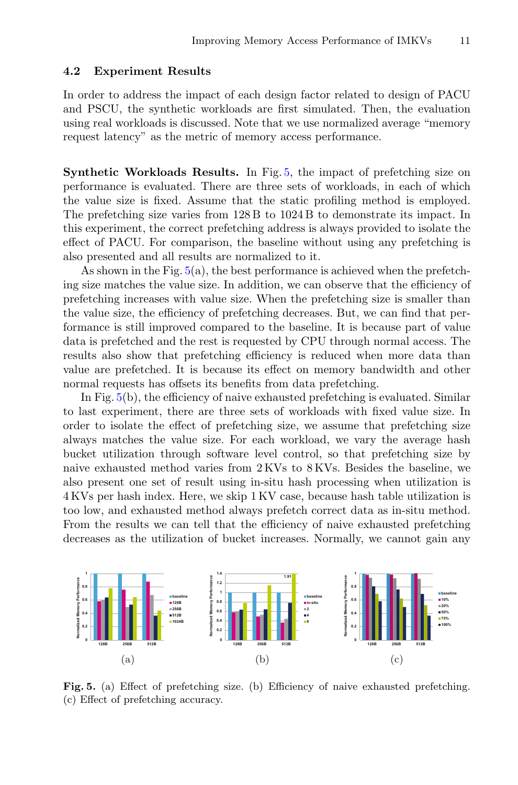#### **4.2 Experiment Results**

In order to address the impact of each design factor related to design of PACU and PSCU, the synthetic workloads are first simulated. Then, the evaluation using real workloads is discussed. Note that we use normalized average "memory request latency" as the metric of memory access performance.

**Synthetic Workloads Results.** In Fig. [5,](#page-10-0) the impact of prefetching size on performance is evaluated. There are three sets of workloads, in each of which the value size is fixed. Assume that the static profiling method is employed. The prefetching size varies from 128 B to 1024 B to demonstrate its impact. In this experiment, the correct prefetching address is always provided to isolate the effect of PACU. For comparison, the baseline without using any prefetching is also presented and all results are normalized to it.

As shown in the Fig.  $5(a)$  $5(a)$ , the best performance is achieved when the prefetching size matches the value size. In addition, we can observe that the efficiency of prefetching increases with value size. When the prefetching size is smaller than the value size, the efficiency of prefetching decreases. But, we can find that performance is still improved compared to the baseline. It is because part of value data is prefetched and the rest is requested by CPU through normal access. The results also show that prefetching efficiency is reduced when more data than value are prefetched. It is because its effect on memory bandwidth and other normal requests has offsets its benefits from data prefetching.

In Fig. [5\(](#page-10-0)b), the efficiency of naive exhausted prefetching is evaluated. Similar to last experiment, there are three sets of workloads with fixed value size. In order to isolate the effect of prefetching size, we assume that prefetching size always matches the value size. For each workload, we vary the average hash bucket utilization through software level control, so that prefetching size by naive exhausted method varies from 2 KVs to 8 KVs. Besides the baseline, we also present one set of result using in-situ hash processing when utilization is 4 KVs per hash index. Here, we skip 1 KV case, because hash table utilization is too low, and exhausted method always prefetch correct data as in-situ method. From the results we can tell that the efficiency of naive exhausted prefetching decreases as the utilization of bucket increases. Normally, we cannot gain any



<span id="page-10-0"></span>Fig. 5. (a) Effect of prefetching size. (b) Efficiency of naive exhausted prefetching. (c) Effect of prefetching accuracy.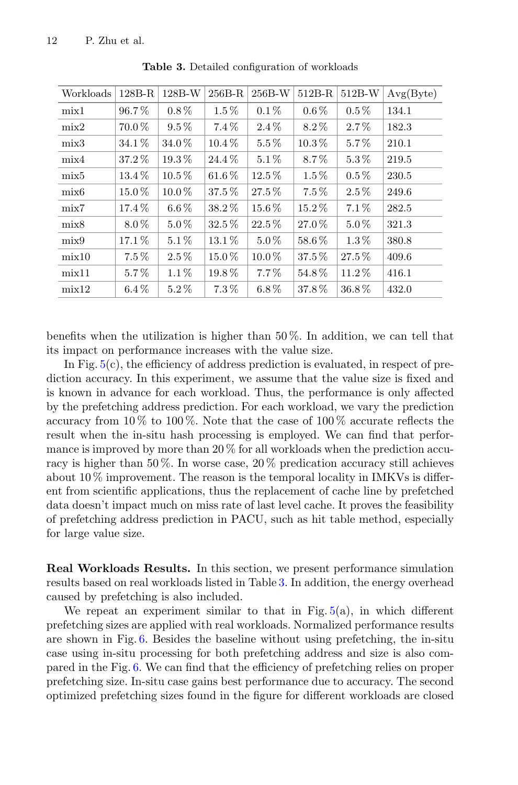| Workloads        | $128B-R$   | 128B-W    | $256B-R$ | 256B-W     | $512B-R$   | 512B-W   | Avg(Byte) |
|------------------|------------|-----------|----------|------------|------------|----------|-----------|
| mix1             | $96.7\%$   | $0.8\%$   | $1.5\%$  | $0.1\%$    | $0.6\%$    | $0.5\%$  | 134.1     |
| mix2             | $70.0\%$   | $9.5\%$   | $7.4\%$  | $2.4\%$    | $8.2\%$    | $2.7\%$  | 182.3     |
| mix3             | $34.1\%$   | $34.0\%$  | $10.4\%$ | $5.5\%$    | $10.3\,\%$ | $5.7\%$  | 210.1     |
| mix4             | $37.2\%$   | $19.3\%$  | $24.4\%$ | $5.1\%$    | $8.7\%$    | $5.3\%$  | 219.5     |
| mix <sub>5</sub> | $13.4\%$   | $10.5\%$  | $61.6\%$ | $12.5\%$   | $1.5\%$    | $0.5\%$  | 230.5     |
| mix6             | $15.0\,\%$ | $10.0\%$  | $37.5\%$ | $27.5\%$   | $7.5\%$    | $2.5\%$  | 249.6     |
| mix7             | 17.4%      | $6.6\,\%$ | 38.2%    | $15.6\,\%$ | $15.2\%$   | $7.1\%$  | 282.5     |
| mix8             | $8.0\%$    | $5.0\%$   | $32.5\%$ | $22.5\%$   | 27.0%      | $5.0\%$  | 321.3     |
| mix9             | 17.1%      | $5.1\%$   | $13.1\%$ | $5.0\%$    | $58.6\%$   | $1.3\%$  | 380.8     |
| mix10            | $7.5\%$    | $2.5\%$   | $15.0\%$ | $10.0\%$   | $37.5\%$   | $27.5\%$ | 409.6     |
| mix11            | $5.7\%$    | $1.1\%$   | $19.8\%$ | $7.7\%$    | 54.8%      | $11.2\%$ | 416.1     |
| mix12            | $6.4\%$    | $5.2\%$   | $7.3\%$  | $6.8\%$    | 37.8%      | $36.8\%$ | 432.0     |

<span id="page-11-0"></span>**Table 3.** Detailed configuration of workloads

benefits when the utilization is higher than 50 %. In addition, we can tell that its impact on performance increases with the value size.

In Fig.  $5(c)$  $5(c)$ , the efficiency of address prediction is evaluated, in respect of prediction accuracy. In this experiment, we assume that the value size is fixed and is known in advance for each workload. Thus, the performance is only affected by the prefetching address prediction. For each workload, we vary the prediction accuracy from  $10\%$  to  $100\%$ . Note that the case of  $100\%$  accurate reflects the result when the in-situ hash processing is employed. We can find that performance is improved by more than 20 % for all workloads when the prediction accuracy is higher than 50 %. In worse case, 20 % predication accuracy still achieves about  $10\%$  improvement. The reason is the temporal locality in IMKVs is different from scientific applications, thus the replacement of cache line by prefetched data doesn't impact much on miss rate of last level cache. It proves the feasibility of prefetching address prediction in PACU, such as hit table method, especially for large value size.

**Real Workloads Results.** In this section, we present performance simulation results based on real workloads listed in Table [3.](#page-11-0) In addition, the energy overhead caused by prefetching is also included.

We repeat an experiment similar to that in Fig.  $5(a)$  $5(a)$ , in which different prefetching sizes are applied with real workloads. Normalized performance results are shown in Fig. [6.](#page-12-0) Besides the baseline without using prefetching, the in-situ case using in-situ processing for both prefetching address and size is also compared in the Fig. [6.](#page-12-0) We can find that the efficiency of prefetching relies on proper prefetching size. In-situ case gains best performance due to accuracy. The second optimized prefetching sizes found in the figure for different workloads are closed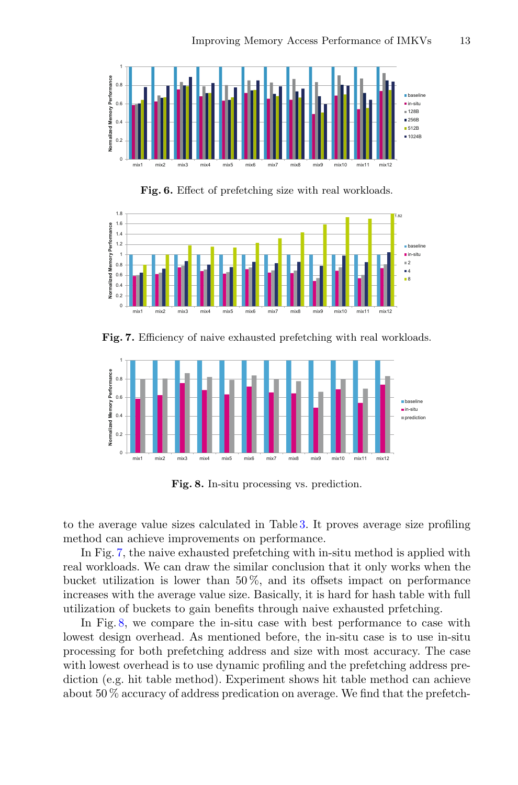

**Fig. 6.** Effect of prefetching size with real workloads.

<span id="page-12-0"></span>

Fig. 7. Efficiency of naive exhausted prefetching with real workloads.

<span id="page-12-1"></span>

<span id="page-12-2"></span>**Fig. 8.** In-situ processing vs. prediction.

to the average value sizes calculated in Table [3.](#page-11-0) It proves average size profiling method can achieve improvements on performance.

In Fig. [7,](#page-12-1) the naive exhausted prefetching with in-situ method is applied with real workloads. We can draw the similar conclusion that it only works when the bucket utilization is lower than  $50\%$ , and its offsets impact on performance increases with the average value size. Basically, it is hard for hash table with full utilization of buckets to gain benefits through naive exhausted prfetching.

In Fig. [8,](#page-12-2) we compare the in-situ case with best performance to case with lowest design overhead. As mentioned before, the in-situ case is to use in-situ processing for both prefetching address and size with most accuracy. The case with lowest overhead is to use dynamic profiling and the prefetching address prediction (e.g. hit table method). Experiment shows hit table method can achieve about 50 % accuracy of address predication on average. We find that the prefetch-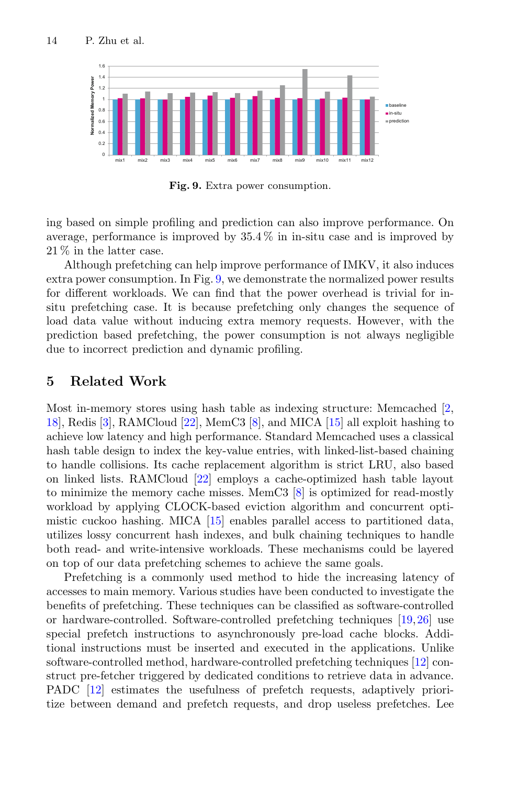

<span id="page-13-0"></span>**Fig. 9.** Extra power consumption.

ing based on simple profiling and prediction can also improve performance. On average, performance is improved by  $35.4\%$  in in-situ case and is improved by 21 % in the latter case.

Although prefetching can help improve performance of IMKV, it also induces extra power consumption. In Fig. [9,](#page-13-0) we demonstrate the normalized power results for different workloads. We can find that the power overhead is trivial for insitu prefetching case. It is because prefetching only changes the sequence of load data value without inducing extra memory requests. However, with the prediction based prefetching, the power consumption is not always negligible due to incorrect prediction and dynamic profiling.

## **5 Related Work**

Most in-memory stores using hash table as indexing structure: Memcached [\[2](#page-14-1), [18](#page-15-4)], Redis [\[3](#page-14-2)], RAMCloud [\[22](#page-16-4)], MemC3 [\[8\]](#page-15-8), and MICA [\[15](#page-15-7)] all exploit hashing to achieve low latency and high performance. Standard Memcached uses a classical hash table design to index the key-value entries, with linked-list-based chaining to handle collisions. Its cache replacement algorithm is strict LRU, also based on linked lists. RAMCloud [\[22](#page-16-4)] employs a cache-optimized hash table layout to minimize the memory cache misses. MemC3 [\[8](#page-15-8)] is optimized for read-mostly workload by applying CLOCK-based eviction algorithm and concurrent optimistic cuckoo hashing. MICA [\[15\]](#page-15-7) enables parallel access to partitioned data, utilizes lossy concurrent hash indexes, and bulk chaining techniques to handle both read- and write-intensive workloads. These mechanisms could be layered on top of our data prefetching schemes to achieve the same goals.

Prefetching is a commonly used method to hide the increasing latency of accesses to main memory. Various studies have been conducted to investigate the benefits of prefetching. These techniques can be classified as software-controlled or hardware-controlled. Software-controlled prefetching techniques [\[19](#page-16-7)[,26](#page-16-8)] use special prefetch instructions to asynchronously pre-load cache blocks. Additional instructions must be inserted and executed in the applications. Unlike software-controlled method, hardware-controlled prefetching techniques [\[12\]](#page-15-12) construct pre-fetcher triggered by dedicated conditions to retrieve data in advance. PADC [\[12](#page-15-12)] estimates the usefulness of prefetch requests, adaptively prioritize between demand and prefetch requests, and drop useless prefetches. Lee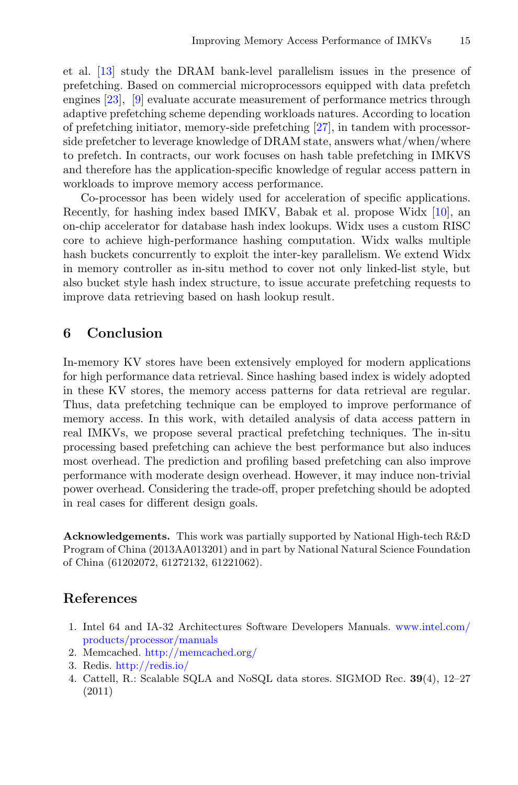et al. [\[13](#page-15-13)] study the DRAM bank-level parallelism issues in the presence of prefetching. Based on commercial microprocessors equipped with data prefetch engines [\[23\]](#page-16-1), [\[9\]](#page-15-5) evaluate accurate measurement of performance metrics through adaptive prefetching scheme depending workloads natures. According to location of prefetching initiator, memory-side prefetching [\[27](#page-16-9)], in tandem with processorside prefetcher to leverage knowledge of DRAM state, answers what/when/where to prefetch. In contracts, our work focuses on hash table prefetching in IMKVS and therefore has the application-specific knowledge of regular access pattern in workloads to improve memory access performance.

Co-processor has been widely used for acceleration of specific applications. Recently, for hashing index based IMKV, Babak et al. propose Widx [\[10](#page-15-10)], an on-chip accelerator for database hash index lookups. Widx uses a custom RISC core to achieve high-performance hashing computation. Widx walks multiple hash buckets concurrently to exploit the inter-key parallelism. We extend Widx in memory controller as in-situ method to cover not only linked-list style, but also bucket style hash index structure, to issue accurate prefetching requests to improve data retrieving based on hash lookup result.

## **6 Conclusion**

In-memory KV stores have been extensively employed for modern applications for high performance data retrieval. Since hashing based index is widely adopted in these KV stores, the memory access patterns for data retrieval are regular. Thus, data prefetching technique can be employed to improve performance of memory access. In this work, with detailed analysis of data access pattern in real IMKVs, we propose several practical prefetching techniques. The in-situ processing based prefetching can achieve the best performance but also induces most overhead. The prediction and profiling based prefetching can also improve performance with moderate design overhead. However, it may induce non-trivial power overhead. Considering the trade-off, proper prefetching should be adopted in real cases for different design goals.

**Acknowledgements.** This work was partially supported by National High-tech R&D Program of China (2013AA013201) and in part by National Natural Science Foundation of China (61202072, 61272132, 61221062).

### <span id="page-14-3"></span>**References**

- 1. Intel 64 and IA-32 Architectures Software Developers Manuals. [www.intel.com/](www.intel.com/products/processor/manuals) [products/processor/manuals](www.intel.com/products/processor/manuals)
- <span id="page-14-1"></span>2. Memcached. <http://memcached.org/>
- <span id="page-14-2"></span>3. Redis. <http://redis.io/>
- <span id="page-14-0"></span>4. Cattell, R.: Scalable SQLA and NoSQL data stores. SIGMOD Rec. **39**(4), 12–27 (2011)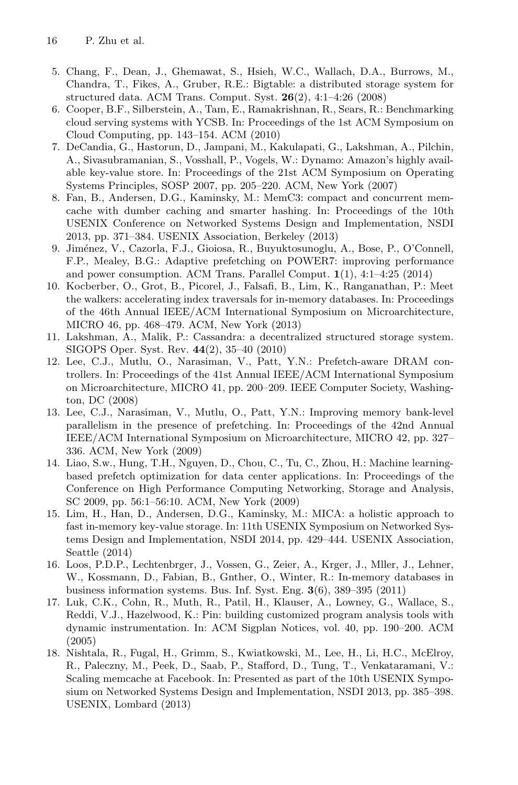- <span id="page-15-0"></span>5. Chang, F., Dean, J., Ghemawat, S., Hsieh, W.C., Wallach, D.A., Burrows, M., Chandra, T., Fikes, A., Gruber, R.E.: Bigtable: a distributed storage system for structured data. ACM Trans. Comput. Syst. **26**(2), 4:1–4:26 (2008)
- <span id="page-15-11"></span>6. Cooper, B.F., Silberstein, A., Tam, E., Ramakrishnan, R., Sears, R.: Benchmarking cloud serving systems with YCSB. In: Proceedings of the 1st ACM Symposium on Cloud Computing, pp. 143–154. ACM (2010)
- <span id="page-15-2"></span>7. DeCandia, G., Hastorun, D., Jampani, M., Kakulapati, G., Lakshman, A., Pilchin, A., Sivasubramanian, S., Vosshall, P., Vogels, W.: Dynamo: Amazon's highly available key-value store. In: Proceedings of the 21st ACM Symposium on Operating Systems Principles, SOSP 2007, pp. 205–220. ACM, New York (2007)
- <span id="page-15-8"></span>8. Fan, B., Andersen, D.G., Kaminsky, M.: MemC3: compact and concurrent memcache with dumber caching and smarter hashing. In: Proceedings of the 10th USENIX Conference on Networked Systems Design and Implementation, NSDI 2013, pp. 371–384. USENIX Association, Berkeley (2013)
- <span id="page-15-5"></span>9. Jim´enez, V., Cazorla, F.J., Gioiosa, R., Buyuktosunoglu, A., Bose, P., O'Connell, F.P., Mealey, B.G.: Adaptive prefetching on POWER7: improving performance and power consumption. ACM Trans. Parallel Comput. **1**(1), 4:1–4:25 (2014)
- <span id="page-15-10"></span>10. Kocberber, O., Grot, B., Picorel, J., Falsafi, B., Lim, K., Ranganathan, P.: Meet the walkers: accelerating index traversals for in-memory databases. In: Proceedings of the 46th Annual IEEE/ACM International Symposium on Microarchitecture, MICRO 46, pp. 468–479. ACM, New York (2013)
- <span id="page-15-1"></span>11. Lakshman, A., Malik, P.: Cassandra: a decentralized structured storage system. SIGOPS Oper. Syst. Rev. **44**(2), 35–40 (2010)
- <span id="page-15-12"></span>12. Lee, C.J., Mutlu, O., Narasiman, V., Patt, Y.N.: Prefetch-aware DRAM controllers. In: Proceedings of the 41st Annual IEEE/ACM International Symposium on Microarchitecture, MICRO 41, pp. 200–209. IEEE Computer Society, Washington, DC (2008)
- <span id="page-15-13"></span>13. Lee, C.J., Narasiman, V., Mutlu, O., Patt, Y.N.: Improving memory bank-level parallelism in the presence of prefetching. In: Proceedings of the 42nd Annual IEEE/ACM International Symposium on Microarchitecture, MICRO 42, pp. 327– 336. ACM, New York (2009)
- <span id="page-15-6"></span>14. Liao, S.w., Hung, T.H., Nguyen, D., Chou, C., Tu, C., Zhou, H.: Machine learningbased prefetch optimization for data center applications. In: Proceedings of the Conference on High Performance Computing Networking, Storage and Analysis, SC 2009, pp. 56:1–56:10. ACM, New York (2009)
- <span id="page-15-7"></span>15. Lim, H., Han, D., Andersen, D.G., Kaminsky, M.: MICA: a holistic approach to fast in-memory key-value storage. In: 11th USENIX Symposium on Networked Systems Design and Implementation, NSDI 2014, pp. 429–444. USENIX Association, Seattle (2014)
- <span id="page-15-3"></span>16. Loos, P.D.P., Lechtenbrger, J., Vossen, G., Zeier, A., Krger, J., Mller, J., Lehner, W., Kossmann, D., Fabian, B., Gnther, O., Winter, R.: In-memory databases in business information systems. Bus. Inf. Syst. Eng. **3**(6), 389–395 (2011)
- <span id="page-15-9"></span>17. Luk, C.K., Cohn, R., Muth, R., Patil, H., Klauser, A., Lowney, G., Wallace, S., Reddi, V.J., Hazelwood, K.: Pin: building customized program analysis tools with dynamic instrumentation. In: ACM Sigplan Notices, vol. 40, pp. 190–200. ACM (2005)
- <span id="page-15-4"></span>18. Nishtala, R., Fugal, H., Grimm, S., Kwiatkowski, M., Lee, H., Li, H.C., McElroy, R., Paleczny, M., Peek, D., Saab, P., Stafford, D., Tung, T., Venkataramani, V.: Scaling memcache at Facebook. In: Presented as part of the 10th USENIX Symposium on Networked Systems Design and Implementation, NSDI 2013, pp. 385–398. USENIX, Lombard (2013)